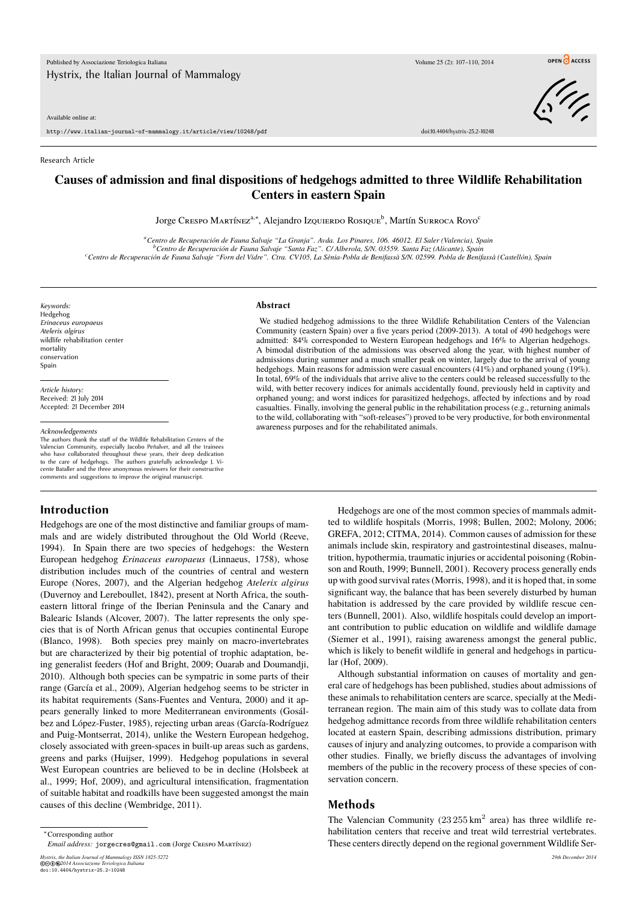Available online at:

http://www.italian-journal-of-mammalogy.it/article/view/10248/pdf doi:10.4404/hystrix-25.2-10248

OPEN CACCESS



#### Research Article

# **Causes of admission and final dispositions of hedgehogs admitted to three Wildlife Rehabilitation Centers in eastern Spain**

Jorge Crespo Martínez<sup>a,\*</sup>, Alejandro Izquierdo Rosique<sup>b</sup>, Martín Surroca Royo<sup>c</sup>

*<sup>a</sup>Centro de Recuperación de Fauna Salvaje "La Granja". Avda. Los Pinares, 106. 46012. El Saler (Valencia), Spain <sup>b</sup>Centro de Recuperación de Fauna Salvaje "Santa Faz". C/ Alberola, S/N. 03559. Santa Faz (Alicante), Spain <sup>c</sup>Centro de Recuperación de Fauna Salvaje "Forn del Vidre". Ctra. CV105, La Sènia-Pobla de Benifassà S/N. 02599. Pobla de Benifassà (Castellón), Spain*

*Keywords:* Hedgehog *Erinaceus europaeus Atelerix algirus* wildlife rehabilitation center mortality conservation Spain

*Article history:* Received: 21 July 2014 Accepted: 21 December 2014

#### *Acknowledgements*

The authors thank the staff of the Wildlife Rehabilitation Centers of the Valencian Community, especially Jacobo Peñalver, and all the trainees who have collaborated throughout these years, their deep dedication to the care of hedgehogs. The authors gratefully acknowledge J. Vicente Bataller and the three anonymous reviewers for their constructive comments and suggestions to improve the original manuscript.

## **Introduction**

Hedgehogs are one of the most distinctive and familiar groups of mammals and are widely distributed throughout the Old World (Reeve, 1994). In Spain there are two species of hedgehogs: the Western European hedgehog *Erinaceus europaeus* (Linnaeus, 1758), whose distribution includes much of the countries of central and western Europe (Nores, 2007), and the Algerian hedgehog *Atelerix algirus* (Duvernoy and Lereboullet, 1842), present at North Africa, the southeastern littoral fringe of the Iberian Peninsula and the Canary and Balearic Islands (Alcover, 2007). The latter represents the only species that is of North African genus that occupies continental Europe (Blanco, 1998). Both species prey mainly on macro-invertebrates but are characterized by their big potential of trophic adaptation, being generalist feeders (Hof and Bright, 2009; Ouarab and Doumandji, 2010). Although both species can be sympatric in some parts of their range (García et al., 2009), Algerian hedgehog seems to be stricter in its habitat requirements (Sans-Fuentes and Ventura, 2000) and it appears generally linked to more Mediterranean environments (Gosálbez and López-Fuster, 1985), rejecting urban areas (García-Rodríguez and Puig-Montserrat, 2014), unlike the Western European hedgehog, closely associated with green-spaces in built-up areas such as gardens, greens and parks (Huijser, 1999). Hedgehog populations in several West European countries are believed to be in decline (Holsbeek at al., 1999; Hof, 2009), and agricultural intensification, fragmentation of suitable habitat and roadkills have been suggested amongst the main causes of this decline (Wembridge, 2011).

#### **Abstract**

We studied hedgehog admissions to the three Wildlife Rehabilitation Centers of the Valencian Community (eastern Spain) over a five years period (2009-2013). A total of 490 hedgehogs were admitted: 84% corresponded to Western European hedgehogs and 16% to Algerian hedgehogs. A bimodal distribution of the admissions was observed along the year, with highest number of admissions during summer and a much smaller peak on winter, largely due to the arrival of young hedgehogs. Main reasons for admission were casual encounters (41%) and orphaned young (19%). In total, 69% of the individuals that arrive alive to the centers could be released successfully to the wild, with better recovery indices for animals accidentally found, previously held in captivity and orphaned young; and worst indices for parasitized hedgehogs, affected by infections and by road casualties. Finally, involving the general public in the rehabilitation process (e.g., returning animals to the wild, collaborating with "soft-releases") proved to be very productive, for both environmental awareness purposes and for the rehabilitated animals.

> Hedgehogs are one of the most common species of mammals admitted to wildlife hospitals (Morris, 1998; Bullen, 2002; Molony, 2006; GREFA, 2012; CITMA, 2014). Common causes of admission for these animals include skin, respiratory and gastrointestinal diseases, malnutrition, hypothermia, traumatic injuries or accidental poisoning (Robinson and Routh, 1999; Bunnell, 2001). Recovery process generally ends up with good survival rates (Morris, 1998), and it is hoped that, in some significant way, the balance that has been severely disturbed by human habitation is addressed by the care provided by wildlife rescue centers (Bunnell, 2001). Also, wildlife hospitals could develop an important contribution to public education on wildlife and wildlife damage (Siemer et al., 1991), raising awareness amongst the general public, which is likely to benefit wildlife in general and hedgehogs in particular (Hof, 2009).

> Although substantial information on causes of mortality and general care of hedgehogs has been published, studies about admissions of these animals to rehabilitation centers are scarce, specially at the Mediterranean region. The main aim of this study was to collate data from hedgehog admittance records from three wildlife rehabilitation centers located at eastern Spain, describing admissions distribution, primary causes of injury and analyzing outcomes, to provide a comparison with other studies. Finally, we briefly discuss the advantages of involving members of the public in the recovery process of these species of conservation concern.

## **Methods**

The Valencian Community  $(23255 \text{ km}^2 \text{ area})$  has three wildlife rehabilitation centers that receive and treat wild terrestrial vertebrates. These centers directly depend on the regional government Wildlife Ser-

*Email address:* jorgecres@gmail.com (Jorge Crespo Martínez)

*Hystrix, the Italian Journal of Mammalogy ISSN 1825-5272 29th December 2014* ©cbe*2014 Associazione Teriologica Italiana* doi:10.4404/hystrix-25.2-10248

<sup>∗</sup>Corresponding author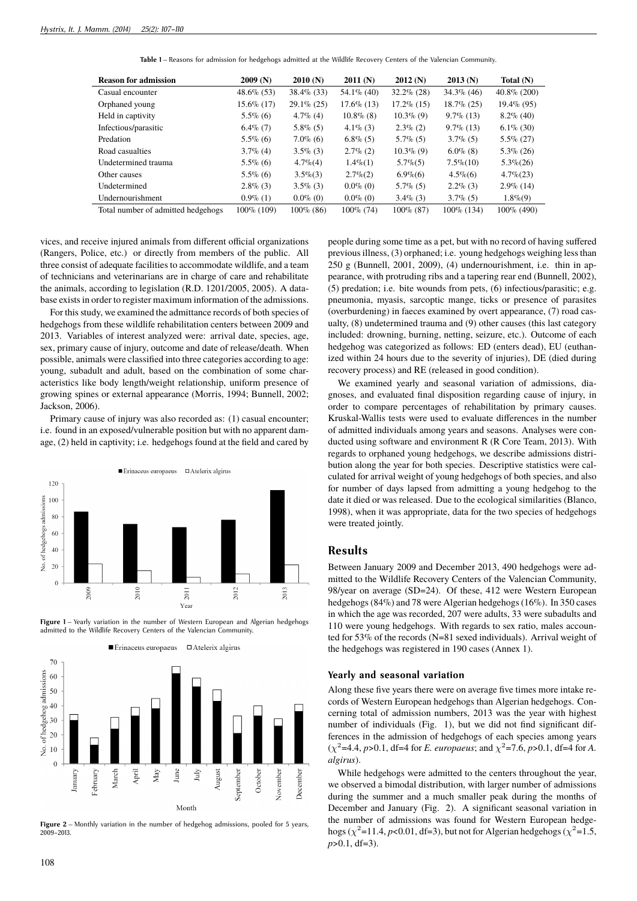**Table 1** – Reasons for admission for hedgehogs admitted at the Wildlife Recovery Centers of the Valencian Community.

| <b>Reason for admission</b>        | 2009(N)       | 2010(N)       | 2011(N)       | 2012(N)       | 2013(N)       | Total $(N)$    |
|------------------------------------|---------------|---------------|---------------|---------------|---------------|----------------|
| Casual encounter                   | $48.6\%$ (53) | $38.4\%$ (33) | $54.1\%$ (40) | $32.2\%$ (28) | $34.3\%$ (46) | $40.8\%$ (200) |
| Orphaned young                     | 15.6% (17)    | $29.1\% (25)$ | $17.6\%$ (13) | $17.2\%$ (15) | $18.7\%$ (25) | $19.4\%$ (95)  |
| Held in captivity                  | $5.5\%$ (6)   | $4.7\%$ (4)   | $10.8\%$ (8)  | $10.3\%$ (9)  | $9.7\%$ (13)  | $8.2\%$ (40)   |
| Infectious/parasitic               | $6.4\%$ (7)   | $5.8\%$ (5)   | $4.1\%$ (3)   | $2.3\%$ (2)   | $9.7\%$ (13)  | $6.1\%$ (30)   |
| Predation                          | $5.5\%$ (6)   | $7.0\%$ (6)   | $6.8\%$ (5)   | $5.7\%$ (5)   | $3.7\%$ (5)   | $5.5\% (27)$   |
| Road casualties                    | $3.7\%$ (4)   | $3.5\%$ (3)   | $2.7\%$ (2)   | $10.3\%$ (9)  | $6.0\%$ (8)   | $5.3\%$ (26)   |
| Undetermined trauma                | $5.5\%$ (6)   | $4.7\%$ (4)   | $1.4\%(1)$    | $5.7\%$ (5)   | $7.5\% (10)$  | $5.3\% (26)$   |
| Other causes                       | $5.5\%$ (6)   | $3.5\%$ (3)   | $2.7\%(2)$    | $6.9\%$ $(6)$ | $4.5\%$ (6)   | $4.7\% (23)$   |
| Undetermined                       | $2.8\%$ (3)   | $3.5\%$ (3)   | $0.0\%$ (0)   | $5.7\%$ (5)   | $2.2\%$ (3)   | $2.9\%$ (14)   |
| Undernourishment                   | $0.9\%$ (1)   | $0.0\%$ (0)   | $0.0\%$ (0)   | $3.4\%$ (3)   | $3.7\%$ (5)   | $1.8\%(9)$     |
| Total number of admitted hedgehogs | 100\% (109)   | $100\%$ (86)  | $100\%$ (74)  | $100\%$ (87)  | 100% (134)    | $100\%$ (490)  |

vices, and receive injured animals from different official organizations (Rangers, Police, etc.) or directly from members of the public. All three consist of adequate facilities to accommodate wildlife, and a team of technicians and veterinarians are in charge of care and rehabilitate the animals, according to legislation (R.D. 1201/2005, 2005). A database exists in order to register maximum information of the admissions.

For this study, we examined the admittance records of both species of hedgehogs from these wildlife rehabilitation centers between 2009 and 2013. Variables of interest analyzed were: arrival date, species, age, sex, primary cause of injury, outcome and date of release/death. When possible, animals were classified into three categories according to age: young, subadult and adult, based on the combination of some characteristics like body length/weight relationship, uniform presence of growing spines or external appearance (Morris, 1994; Bunnell, 2002; Jackson, 2006).

Primary cause of injury was also recorded as: (1) casual encounter; i.e. found in an exposed/vulnerable position but with no apparent damage, (2) held in captivity; i.e. hedgehogs found at the field and cared by



Figure 1 – Yearly variation in the number of Western European and Algerian hedgehogs admitted to the Wildlife Recovery Centers of the Valencian Community.



**Figure 2** – Monthly variation in the number of hedgehog admissions, pooled for 5 years, 2009–2013.

people during some time as a pet, but with no record of having suffered previous illness, (3) orphaned; i.e. young hedgehogs weighing less than 250 g (Bunnell, 2001, 2009), (4) undernourishment, i.e. thin in appearance, with protruding ribs and a tapering rear end (Bunnell, 2002), (5) predation; i.e. bite wounds from pets, (6) infectious/parasitic; e.g. pneumonia, myasis, sarcoptic mange, ticks or presence of parasites (overburdening) in faeces examined by overt appearance, (7) road casualty, (8) undetermined trauma and (9) other causes (this last category included: drowning, burning, netting, seizure, etc.). Outcome of each hedgehog was categorized as follows: ED (enters dead), EU (euthanized within 24 hours due to the severity of injuries), DE (died during recovery process) and RE (released in good condition).

We examined yearly and seasonal variation of admissions, diagnoses, and evaluated final disposition regarding cause of injury, in order to compare percentages of rehabilitation by primary causes. Kruskal-Wallis tests were used to evaluate differences in the number of admitted individuals among years and seasons. Analyses were conducted using software and environment R (R Core Team, 2013). With regards to orphaned young hedgehogs, we describe admissions distribution along the year for both species. Descriptive statistics were calculated for arrival weight of young hedgehogs of both species, and also for number of days lapsed from admitting a young hedgehog to the date it died or was released. Due to the ecological similarities (Blanco, 1998), when it was appropriate, data for the two species of hedgehogs were treated jointly.

## **Results**

Between January 2009 and December 2013, 490 hedgehogs were admitted to the Wildlife Recovery Centers of the Valencian Community, 98/year on average (SD=24). Of these, 412 were Western European hedgehogs (84%) and 78 were Algerian hedgehogs (16%). In 350 cases in which the age was recorded, 207 were adults, 33 were subadults and 110 were young hedgehogs. With regards to sex ratio, males accounted for 53% of the records (N=81 sexed individuals). Arrival weight of the hedgehogs was registered in 190 cases (Annex 1).

## **Yearly and seasonal variation**

Along these five years there were on average five times more intake records of Western European hedgehogs than Algerian hedgehogs. Concerning total of admission numbers, 2013 was the year with highest number of individuals (Fig. 1), but we did not find significant differences in the admission of hedgehogs of each species among years  $(\chi^2 = 4.4, p > 0.1, df = 4$  for *E. europaeus*; and  $\chi^2 = 7.6, p > 0.1, df = 4$  for *A. algirus*).

While hedgehogs were admitted to the centers throughout the year, we observed a bimodal distribution, with larger number of admissions during the summer and a much smaller peak during the months of December and January (Fig. 2). A significant seasonal variation in the number of admissions was found for Western European hedgehogs ( $\chi^2$ =11.4, *p*<0.01, df=3), but not for Algerian hedgehogs ( $\chi^2$ =1.5, *p*>0.1, df=3).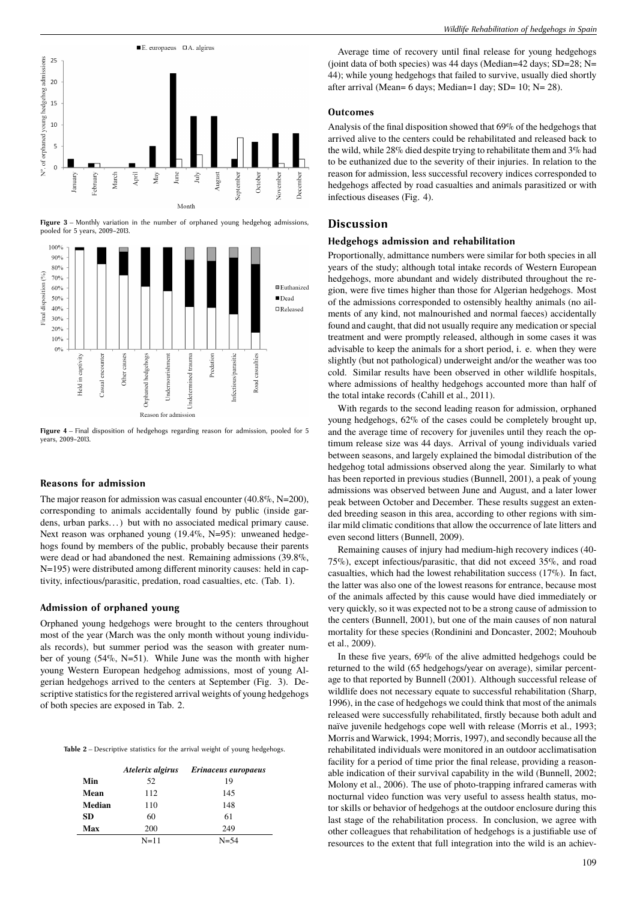

**Figure 3** – Monthly variation in the number of orphaned young hedgehog admissions, pooled for 5 years, 2009–2013.



**Figure 4** – Final disposition of hedgehogs regarding reason for admission, pooled for 5 years, 2009–2013.

#### **Reasons for admission**

The major reason for admission was casual encounter (40.8%, N=200), corresponding to animals accidentally found by public (inside gardens, urban parks...) but with no associated medical primary cause. Next reason was orphaned young (19.4%, N=95): unweaned hedgehogs found by members of the public, probably because their parents were dead or had abandoned the nest. Remaining admissions (39.8%, N=195) were distributed among different minority causes: held in captivity, infectious/parasitic, predation, road casualties, etc. (Tab. 1).

#### **Admission of orphaned young**

Orphaned young hedgehogs were brought to the centers throughout most of the year (March was the only month without young individuals records), but summer period was the season with greater number of young (54%, N=51). While June was the month with higher young Western European hedgehog admissions, most of young Algerian hedgehogs arrived to the centers at September (Fig. 3). Descriptive statistics for the registered arrival weights of young hedgehogs of both species are exposed in Tab. 2.

| Table 2 - Descriptive statistics for the arrival weight of young hedgehogs. |  |  |  |  |  |
|-----------------------------------------------------------------------------|--|--|--|--|--|
|                                                                             |  |  |  |  |  |

|        |          | Atelerix algirus Erinaceus europaeus |
|--------|----------|--------------------------------------|
| Min    | 52       | 19                                   |
| Mean   | 112      | 145                                  |
| Median | 110      | 148                                  |
| SD.    | 60       | 61                                   |
| Max    | 200      | 249                                  |
|        | $N = 11$ | N=54                                 |

Average time of recovery until final release for young hedgehogs (joint data of both species) was 44 days (Median=42 days; SD=28; N= 44); while young hedgehogs that failed to survive, usually died shortly after arrival (Mean= 6 days; Median=1 day; SD= 10; N= 28).

#### **Outcomes**

Analysis of the final disposition showed that 69% of the hedgehogs that arrived alive to the centers could be rehabilitated and released back to the wild, while 28% died despite trying to rehabilitate them and 3% had to be euthanized due to the severity of their injuries. In relation to the reason for admission, less successful recovery indices corresponded to hedgehogs affected by road casualties and animals parasitized or with infectious diseases (Fig. 4).

## **Discussion**

### **Hedgehogs admission and rehabilitation**

Proportionally, admittance numbers were similar for both species in all years of the study; although total intake records of Western European hedgehogs, more abundant and widely distributed throughout the region, were five times higher than those for Algerian hedgehogs. Most of the admissions corresponded to ostensibly healthy animals (no ailments of any kind, not malnourished and normal faeces) accidentally found and caught, that did not usually require any medication or special treatment and were promptly released, although in some cases it was advisable to keep the animals for a short period, i. e. when they were slightly (but not pathological) underweight and/or the weather was too cold. Similar results have been observed in other wildlife hospitals, where admissions of healthy hedgehogs accounted more than half of the total intake records (Cahill et al., 2011).

With regards to the second leading reason for admission, orphaned young hedgehogs, 62% of the cases could be completely brought up, and the average time of recovery for juveniles until they reach the optimum release size was 44 days. Arrival of young individuals varied between seasons, and largely explained the bimodal distribution of the hedgehog total admissions observed along the year. Similarly to what has been reported in previous studies (Bunnell, 2001), a peak of young admissions was observed between June and August, and a later lower peak between October and December. These results suggest an extended breeding season in this area, according to other regions with similar mild climatic conditions that allow the occurrence of late litters and even second litters (Bunnell, 2009).

Remaining causes of injury had medium-high recovery indices (40- 75%), except infectious/parasitic, that did not exceed 35%, and road casualties, which had the lowest rehabilitation success (17%). In fact, the latter was also one of the lowest reasons for entrance, because most of the animals affected by this cause would have died immediately or very quickly, so it was expected not to be a strong cause of admission to the centers (Bunnell, 2001), but one of the main causes of non natural mortality for these species (Rondinini and Doncaster, 2002; Mouhoub et al., 2009).

In these five years, 69% of the alive admitted hedgehogs could be returned to the wild (65 hedgehogs/year on average), similar percentage to that reported by Bunnell (2001). Although successful release of wildlife does not necessary equate to successful rehabilitation (Sharp, 1996), in the case of hedgehogs we could think that most of the animals released were successfully rehabilitated, firstly because both adult and naïve juvenile hedgehogs cope well with release (Morris et al., 1993; Morris and Warwick, 1994; Morris, 1997), and secondly because all the rehabilitated individuals were monitored in an outdoor acclimatisation facility for a period of time prior the final release, providing a reasonable indication of their survival capability in the wild (Bunnell, 2002; Molony et al., 2006). The use of photo-trapping infrared cameras with nocturnal video function was very useful to assess health status, motor skills or behavior of hedgehogs at the outdoor enclosure during this last stage of the rehabilitation process. In conclusion, we agree with other colleagues that rehabilitation of hedgehogs is a justifiable use of resources to the extent that full integration into the wild is an achiev